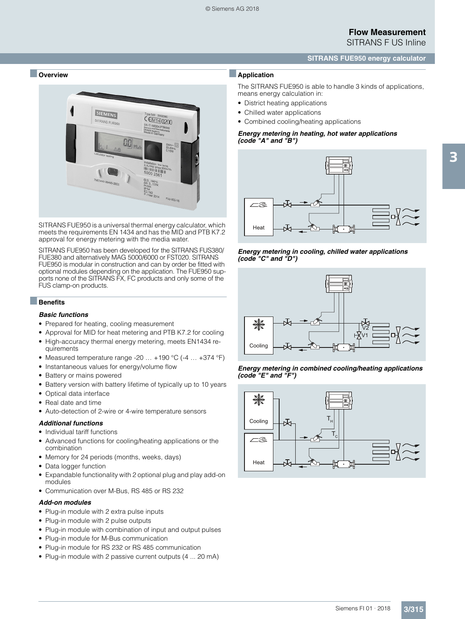## **SITRANS FUE950 energy calculator**

## ■ **Overview**



SITRANS FUE950 is a universal thermal energy calculator, which meets the requirements EN 1434 and has the MID and PTB K7.2 approval for energy metering with the media water.

SITRANS FUE950 has been developed for the SITRANS FUS380/ FUE380 and alternatively MAG 5000/6000 or FST020. SITRANS FUE950 is modular in construction and can by order be fitted with optional modules depending on the application. The FUE950 supports none of the SITRANS FX, FC products and only some of the FUS clamp-on products.

## ■**Benefits**

#### *Basic functions*

- Prepared for heating, cooling measurement
- Approval for MID for heat metering and PTB K7.2 for cooling
- High-accuracy thermal energy metering, meets EN1434 requirements
- Measured temperature range -20 … +190 °C (-4 … +374 °F)
- Instantaneous values for energy/volume flow
- Battery or mains powered
- Battery version with battery lifetime of typically up to 10 years
- Optical data interface
- Real date and time
- Auto-detection of 2-wire or 4-wire temperature sensors

## *Additional functions*

- Individual tariff functions
- Advanced functions for cooling/heating applications or the combination
- Memory for 24 periods (months, weeks, days)
- Data logger function
- Expandable functionality with 2 optional plug and play add-on modules
- Communication over M-Bus, RS 485 or RS 232

## *Add-on modules*

- Plug-in module with 2 extra pulse inputs
- Plug-in module with 2 pulse outputs
- Plug-in module with combination of input and output pulses
- Plug-in module for M-Bus communication
- Plug-in module for RS 232 or RS 485 communication
- Plug-in module with 2 passive current outputs (4 ... 20 mA)

## ■**Application**

The SITRANS FUE950 is able to handle 3 kinds of applications, means energy calculation in:

- District heating applications
- Chilled water applications
- Combined cooling/heating applications

## *Energy metering in heating, hot water applications (code "A" and "B")*



*Energy metering in cooling, chilled water applications (code "C" and "D")*





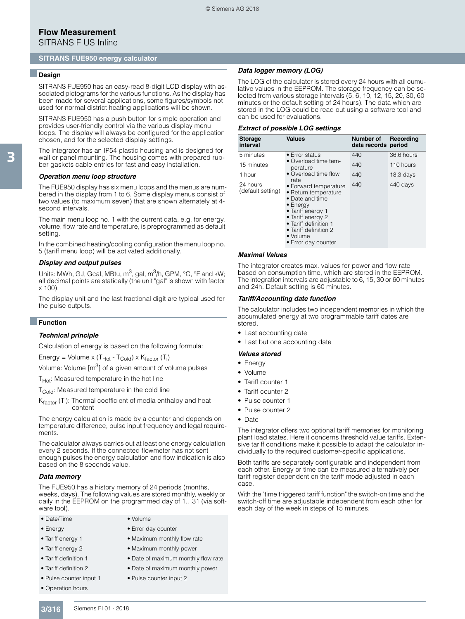SITRANS F US Inline

#### **SITRANS FUE950 energy calculator**

## ■**Design**

3

SITRANS FUE950 has an easy-read 8-digit LCD display with associated pictograms for the various functions. As the display has been made for several applications, some figures/symbols not used for normal district heating applications will be shown.

SITRANS FUE950 has a push button for simple operation and provides user-friendly control via the various display menu loops. The display will always be configured for the application chosen, and for the selected display settings.

The integrator has an IP54 plastic housing and is designed for wall or panel mounting. The housing comes with prepared rubber gaskets cable entries for fast and easy installation.

#### *Operation menu loop structure*

The FUE950 display has six menu loops and the menus are numbered in the display from 1 to 6. Some display menus consist of two values (to maximum seven) that are shown alternately at 4 second intervals.

The main menu loop no. 1 with the current data, e.g. for energy, volume, flow rate and temperature, is preprogrammed as default setting.

In the combined heating/cooling configuration the menu loop no. 5 (tariff menu loop) will be activated additionally.

#### *Display and output pulses*

Units: MWh, GJ, Gcal, MBtu,  $m^3$ , gal,  $m^3/h$ , GPM,  $°C$ ,  $\degree$ F and kW; all decimal points are statically (the unit "gal" is shown with factor  $x 100$ 

The display unit and the last fractional digit are typical used for the pulse outputs.

#### ■**Function**

#### *Technical principle*

Calculation of energy is based on the following formula:

Energy = Volume x (T<sub>Hot</sub> - T<sub>Cold</sub>) x K<sub>factor</sub> (T<sub>i</sub>)

Volume: Volume  $[m<sup>3</sup>]$  of a given amount of volume pulses

 $T_{Hot}$ : Measured temperature in the hot line

T<sub>Cold</sub>: Measured temperature in the cold line

K<sub>factor</sub> (T<sub>i</sub>): Thermal coefficient of media enthalpy and heat content

The energy calculation is made by a counter and depends on temperature difference, pulse input frequency and legal requirements.

The calculator always carries out at least one energy calculation every 2 seconds. If the connected flowmeter has not sent enough pulses the energy calculation and flow indication is also based on the 8 seconds value.

#### *Data memory*

The FUE950 has a history memory of 24 periods (months, weeks, days). The following values are stored monthly, weekly or daily in the EEPROM on the programmed day of 1…31 (via software tool)

- Date/Time Volume
- 
- 
- 
- 
- 
- Pulse counter input 1 Pulse counter input 2
- 

*Data logger memory (LOG)*

The LOG of the calculator is stored every 24 hours with all cumulative values in the EEPROM. The storage frequency can be selected from various storage intervals (5, 6, 10, 12, 15, 20, 30, 60 minutes or the default setting of 24 hours). The data which are stored in the LOG could be read out using a software tool and can be used for evaluations.

#### *Extract of possible LOG settings*

| <b>Storage</b><br>interval    | <b>Values</b>                                                                                                                                                                                                               | <b>Number of</b><br>data records period | Recording   |
|-------------------------------|-----------------------------------------------------------------------------------------------------------------------------------------------------------------------------------------------------------------------------|-----------------------------------------|-------------|
| 5 minutes                     | • Error status                                                                                                                                                                                                              | 440                                     | 36.6 hours  |
| 15 minutes                    | • Overload time tem-<br>perature                                                                                                                                                                                            | 440                                     | 110 hours   |
| 1 hour                        | • Overload time flow                                                                                                                                                                                                        | 440                                     | $18.3$ days |
| 24 hours<br>(default setting) | rate<br>• Forward temperature<br>• Return temperature<br>• Date and time<br>$\bullet$ Energy<br>• Tariff energy 1<br>• Tariff energy 2<br>• Tariff definition 1<br>• Tariff definition 2<br>• Volume<br>• Error day counter | 440                                     | 440 days    |

#### *Maximal Values*

The integrator creates max. values for power and flow rate based on consumption time, which are stored in the EEPROM. The integration intervals are adjustable to 6, 15, 30 or 60 minutes and 24h. Default setting is 60 minutes.

#### *Tariff/Accounting date function*

The calculator includes two independent memories in which the accumulated energy at two programmable tariff dates are stored.

- Last accounting date
- Last but one accounting date

#### *Values stored*

- Energy
- Volume
- Tariff counter 1
- Tariff counter 2
- Pulse counter 1
- Pulse counter 2
- Date

The integrator offers two optional tariff memories for monitoring plant load states. Here it concerns threshold value tariffs. Extensive tariff conditions make it possible to adapt the calculator individually to the required customer-specific applications.

Both tariffs are separately configurable and independent from each other. Energy or time can be measured alternatively per tariff register dependent on the tariff mode adjusted in each case.

With the "time triggered tariff function" the switch-on time and the switch-off time are adjustable independent from each other for each day of the week in steps of 15 minutes.

- Energy Error day counter
- Tariff energy 1 Maximum monthly flow rate
- Tariff energy 2 Maximum monthly power
- Tariff definition 1 Date of maximum monthly flow rate
- Tariff definition 2 Date of maximum monthly power
	-

- -
- - -
- 
- Operation hours
- 
- 
- 
- 
- 
- 
-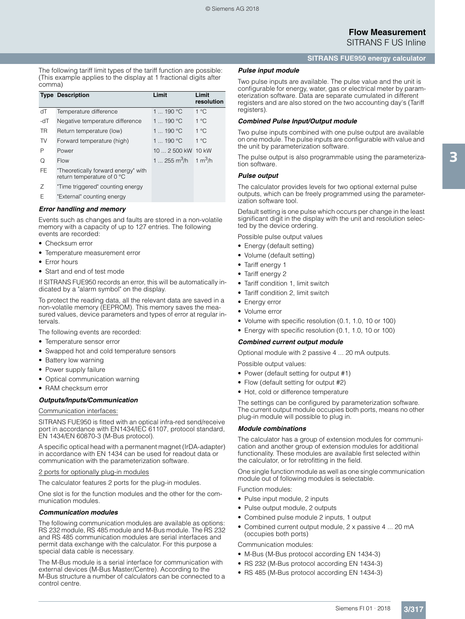## **SITRANS FUE950 energy calculator**

The following tariff limit types of the tariff function are possible: (This example applies to the display at 1 fractional digits after comma)

|           | <b>Type Description</b>                                           | Limit                                        | Limit<br>resolution |
|-----------|-------------------------------------------------------------------|----------------------------------------------|---------------------|
| ďТ        | Temperature difference                                            | 1  190 °C                                    | 1 °C                |
| -dT       | Negative temperature difference                                   | 1 $\dots$ 190 °C                             | 1 °C                |
| <b>TR</b> | Return temperature (low)                                          | 1  190 °C                                    | $1^{\circ}$ C       |
| TV        | Forward temperature (high)                                        | 1 $\dots$ 190 °C                             | 1 °C                |
| P         | Power                                                             | 10  2 500 kW                                 | $10$ kW             |
| O         | Flow                                                              | 1  255 m <sup>3</sup> /h 1 m <sup>3</sup> /h |                     |
| FE        | "Theoretically forward energy" with<br>return temperature of 0 °C |                                              |                     |
| Ζ         | "Time triggered" counting energy                                  |                                              |                     |
| F         | "External" counting energy                                        |                                              |                     |
|           |                                                                   |                                              |                     |

## *Error handling and memory*

Events such as changes and faults are stored in a non-volatile memory with a capacity of up to 127 entries. The following events are recorded:

- Checksum error
- Temperature measurement error
- Error hours
- Start and end of test mode

If SITRANS FUE950 records an error, this will be automatically indicated by a "alarm symbol" on the display.

To protect the reading data, all the relevant data are saved in a non-volatile memory (EEPROM). This memory saves the measured values, device parameters and types of error at regular intervals.

The following events are recorded:

- Temperature sensor error
- Swapped hot and cold temperature sensors
- Battery low warning
- Power supply failure
- Optical communication warning
- RAM checksum error

#### *Outputs/Inputs/Communication*

#### Communication interfaces:

SITRANS FUE950 is fitted with an optical infra-red send/receive port in accordance with EN1434/IEC 61107, protocol standard, EN 1434/EN 60870-3 (M-Bus protocol).

A specific optical head with a permanent magnet (IrDA-adapter) in accordance with EN 1434 can be used for readout data or communication with the parameterization software.

#### 2 ports for optionally plug-in modules

The calculator features 2 ports for the plug-in modules.

One slot is for the function modules and the other for the communication modules.

#### *Communication modules*

The following communication modules are available as options: RS 232 module, RS 485 module and M-Bus module. The RS 232 and RS 485 communication modules are serial interfaces and permit data exchange with the calculator. For this purpose a special data cable is necessary.

The M-Bus module is a serial interface for communication with external devices (M-Bus Master/Centre). According to the M-Bus structure a number of calculators can be connected to a control centre.

## *Pulse input module*

Two pulse inputs are available. The pulse value and the unit is configurable for energy, water, gas or electrical meter by parameterization software. Data are separate cumulated in different registers and are also stored on the two accounting day's (Tariff registers).

#### *Combined Pulse Input/Output module*

Two pulse inputs combined with one pulse output are available on one module. The pulse inputs are configurable with value and the unit by parameterization software.

The pulse output is also programmable using the parameterization software.

#### *Pulse output*

The calculator provides levels for two optional external pulse outputs, which can be freely programmed using the parameterization software tool.

Default setting is one pulse which occurs per change in the least significant digit in the display with the unit and resolution selected by the device ordering.

Possible pulse output values

- Energy (default setting)
- Volume (default setting)
- Tariff energy 1
- Tariff energy 2
- Tariff condition 1, limit switch
- Tariff condition 2, limit switch
- Energy error
- Volume error
- Volume with specific resolution (0.1, 1.0, 10 or 100)
- Energy with specific resolution (0.1, 1.0, 10 or 100)

### *Combined current output module*

Optional module with 2 passive 4 ... 20 mA outputs.

Possible output values:

- Power (default setting for output #1)
- Flow (default setting for output #2)
- Hot, cold or difference temperature

The settings can be configured by parameterization software. The current output module occupies both ports, means no other plug-in module will possible to plug in.

#### *Module combinations*

The calculator has a group of extension modules for communication and another group of extension modules for additional functionality. These modules are available first selected within the calculator, or for retrofitting in the field.

One single function module as well as one single communication module out of following modules is selectable.

Function modules:

- Pulse input module, 2 inputs
- Pulse output module, 2 outputs
- Combined pulse module 2 inputs, 1 output
- Combined current output module, 2 x passive 4 ... 20 mA (occupies both ports)

Communication modules:

- M-Bus (M-Bus protocol according EN 1434-3)
- RS 232 (M-Bus protocol according EN 1434-3)
- RS 485 (M-Bus protocol according EN 1434-3)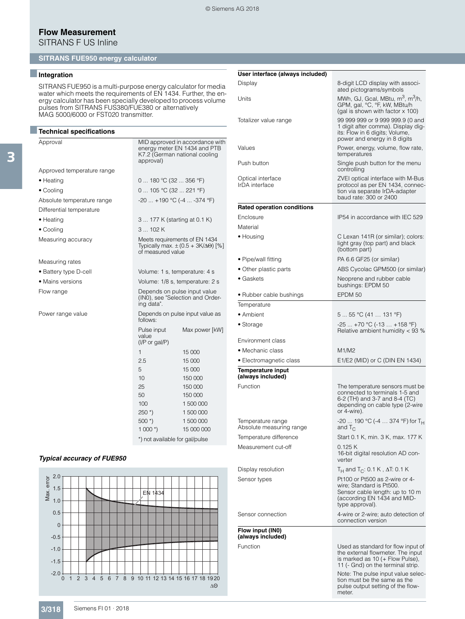# **Flow Measurement**

SITRANS F US Inline

## **SITRANS FUE950 energy calculator**

## ■**Integration**

SITRANS FUE950 is a multi-purpose energy calculator for media water which meets the requirements of EN 1434. Further, the energy calculator has been specially developed to process volume pulses from SITRANS FUS380/FUE380 or alternatively MAG 5000/6000 or FST020 transmitter.

| <b>Technical specifications</b> |                                                                                                               |
|---------------------------------|---------------------------------------------------------------------------------------------------------------|
| Approval                        | MID approved in accordance with<br>energy meter EN 1434 and PTB<br>K7.2 (German national cooling<br>approval) |
| Approved temperature range      |                                                                                                               |
| $\bullet$ Heating               | 0  180 °C (32  356 °F)                                                                                        |
| • Cooling                       | 0  105 °C (32  221 °F)                                                                                        |
| Absolute temperature range      | $-20$ $+190$ °C ( $-4$ $-374$ °F)                                                                             |
| Differential temperature        |                                                                                                               |
| $\bullet$ Heating               | 3  177 K (starting at 0.1 K)                                                                                  |
| • Cooling                       | 3102K                                                                                                         |
| Measuring accuracy              | Meets requirements of EN 1434<br>Typically max. $\pm (0.5 + 3K/\Delta\Theta)$ [%]<br>of measured value        |
| Measuring rates                 |                                                                                                               |
| • Battery type D-cell           | Volume: 1 s, temperature: 4 s                                                                                 |
| • Mains versions                | Volume: 1/8 s, temperature: 2 s                                                                               |
| Flow range                      | Depends on pulse input value<br>(INO), see "Selection and Order-<br>ing data".                                |
| Power range value               | Depends on pulse input value as<br>follows:                                                                   |
|                                 | Max power [kW]<br>Pulse input<br>value<br>$(I/P \text{ or } gal/P)$                                           |
|                                 | $\mathbf{1}$<br>15 000                                                                                        |
|                                 | 2.5<br>15 000                                                                                                 |
|                                 | 5<br>15 000                                                                                                   |
|                                 | 10<br>150,000                                                                                                 |
|                                 | 25<br>150 000                                                                                                 |
|                                 | 50<br>150 000                                                                                                 |
|                                 | 100<br>1500000<br>1 500 000                                                                                   |
|                                 | $250$ $*$ )                                                                                                   |

\*) not available for gal/pulse

500 \*) 1 500 000 1 000 \*) 15 000 000

## *Typical accuracy of FUE950*



| User interface (always included)              |                                                                                                                                                                                                                                                                      |
|-----------------------------------------------|----------------------------------------------------------------------------------------------------------------------------------------------------------------------------------------------------------------------------------------------------------------------|
| Display                                       | 8-digit LCD display with associ-                                                                                                                                                                                                                                     |
| Units                                         | ated pictograms/symbols<br>MWh, GJ, Gcal, MBtu, m <sup>3</sup> , m <sup>3</sup> /h,<br>GPM, gal, °C, °F, kW, MBtu/h<br>(gal is shown with factor x 100)                                                                                                              |
| Totalizer value range                         | 99 999 999 or 9 999 999.9 (0 and<br>1 digit after comma). Display dig-<br>its: Flow in 6 digits; Volume,<br>power and energy in 8 digits                                                                                                                             |
| Values                                        | Power, energy, volume, flow rate,<br>temperatures                                                                                                                                                                                                                    |
| Push button                                   | Single push button for the menu<br>controlling                                                                                                                                                                                                                       |
| Optical interface<br>IrDA interface           | ZVEI optical interface with M-Bus<br>protocol as per EN 1434, connec-<br>tion via separate IrDA-adapter<br>baud rate: 300 or 2400                                                                                                                                    |
| <b>Rated operation conditions</b>             |                                                                                                                                                                                                                                                                      |
| Enclosure                                     | IP54 in accordance with IEC 529                                                                                                                                                                                                                                      |
| Material                                      |                                                                                                                                                                                                                                                                      |
| $\bullet$ Housing                             | C Lexan 141R (or similar); colors:<br>light gray (top part) and black<br>(bottom part)                                                                                                                                                                               |
| • Pipe/wall fitting                           | PA 6.6 GF25 (or similar)                                                                                                                                                                                                                                             |
| • Other plastic parts                         | ABS Cycolac GPM500 (or similar)                                                                                                                                                                                                                                      |
| $\bullet$ Gaskets                             | Neoprene and rubber cable<br>bushings: EPDM 50                                                                                                                                                                                                                       |
| • Rubber cable bushings                       | EPDM 50                                                                                                                                                                                                                                                              |
| Temperature                                   |                                                                                                                                                                                                                                                                      |
| • Ambient                                     | 5  55 °C (41  131 °F)                                                                                                                                                                                                                                                |
| • Storage                                     | $-25 + 70 °C (-13 + 158 °F)$<br>Relative ambient humidity $<$ 93 %                                                                                                                                                                                                   |
| Environment class                             |                                                                                                                                                                                                                                                                      |
| • Mechanic class                              | M1/M2                                                                                                                                                                                                                                                                |
| • Electromagnetic class                       | E1/E2 (MID) or C (DIN EN 1434)                                                                                                                                                                                                                                       |
| <b>Temperature input</b><br>(always included) |                                                                                                                                                                                                                                                                      |
| Function                                      | The temperature sensors must be<br>connected to terminals 1-5 and<br>6-2 (TH) and 3-7 and 8-4 (TC)<br>depending on cable type (2-wire<br>or 4-wire).                                                                                                                 |
| lemperature range<br>Absolute measuring range | -20  190 °C (-4  374 °F) for T <sub>H</sub><br>and $T_{\rm C}$                                                                                                                                                                                                       |
| Temperature difference                        | Start 0.1 K, min. 3 K, max. 177 K                                                                                                                                                                                                                                    |
| Measurement cut-off                           | 0.125 K<br>16-bit digital resolution AD con-<br>verter                                                                                                                                                                                                               |
| Display resolution                            | $T_H$ and T <sub>C</sub> : 0.1 K, $\Delta T$ : 0.1 K                                                                                                                                                                                                                 |
| Sensor types                                  | Pt100 or Pt500 as 2-wire or 4-<br>wire; Standard is Pt500.<br>Sensor cable length: up to 10 m<br>(according EN 1434 and MID-<br>type approval).                                                                                                                      |
| Sensor connection                             | 4-wire or 2-wire; auto detection of<br>connection version                                                                                                                                                                                                            |
| Flow input (IN0)<br>(always included)         |                                                                                                                                                                                                                                                                      |
| Function                                      | Used as standard for flow input of<br>the external flowmeter. The input<br>is marked as 10 (+ Flow Pulse),<br>11 (- Gnd) on the terminal strip.<br>Note: The pulse input value selec-<br>tion must be the same as the<br>pulse output setting of the flow-<br>meter. |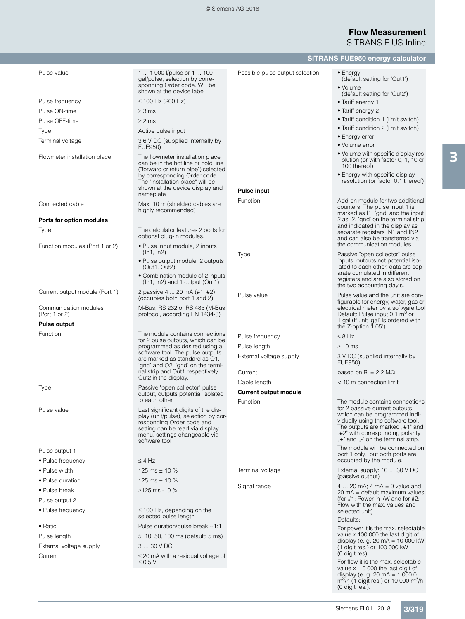## **Flow Measurement** SITRANS F US Inline

**SITRANS FUE950 energy calculator**

| Pulse value                            | 1  1 000 l/pulse or 1  100<br>gal/pulse, selection by corre-<br>sponding Order code. Will be                                                                                                  | Possible pulse output selection | $\bullet$ Energy<br>(default setting for 'Out1')<br>• Volume                                                                                                                   |
|----------------------------------------|-----------------------------------------------------------------------------------------------------------------------------------------------------------------------------------------------|---------------------------------|--------------------------------------------------------------------------------------------------------------------------------------------------------------------------------|
| Pulse frequency                        | shown at the device label<br>$\leq$ 100 Hz (200 Hz)                                                                                                                                           |                                 | (default setting for 'Out2')                                                                                                                                                   |
| Pulse ON-time                          | $\geq$ 3 ms                                                                                                                                                                                   |                                 | • Tariff energy 1<br>• Tariff energy 2                                                                                                                                         |
| Pulse OFF-time                         | $\geq$ 2 ms                                                                                                                                                                                   |                                 | • Tariff condition 1 (limit switch)                                                                                                                                            |
|                                        |                                                                                                                                                                                               |                                 | • Tariff condition 2 (limit switch)                                                                                                                                            |
| Type                                   | Active pulse input                                                                                                                                                                            |                                 | • Energy error                                                                                                                                                                 |
| Terminal voltage                       | 3.6 V DC (supplied internally by<br><b>FUE950)</b>                                                                                                                                            |                                 | • Volume error                                                                                                                                                                 |
| Flowmeter installation place           | The flowmeter installation place<br>can be in the hot line or cold line<br>("forward or return pipe") selected<br>by corresponding Order code.                                                |                                 | • Volume with specific display res-<br>olution (or with factor 0, 1, 10 or<br>100 thereof)<br>• Energy with specific display                                                   |
|                                        | The "installation place" will be                                                                                                                                                              |                                 | resolution (or factor 0.1 thereof)                                                                                                                                             |
|                                        | shown at the device display and<br>nameplate                                                                                                                                                  | <b>Pulse input</b>              |                                                                                                                                                                                |
| Connected cable                        | Max. 10 m (shielded cables are<br>highly recommended)                                                                                                                                         | Function                        | Add-on module for two additional<br>counters. The pulse input 1 is<br>marked as I1, 'gnd' and the input                                                                        |
| Ports for option modules               |                                                                                                                                                                                               |                                 | 2 as I2, 'gnd' on the terminal strip<br>and indicated in the display as                                                                                                        |
| Type                                   | The calculator features 2 ports for<br>optional plug-in modules.                                                                                                                              |                                 | separate registers IN1 and IN2<br>and can also be transferred via                                                                                                              |
| Function modules (Port 1 or 2)         | • Pulse input module, 2 inputs<br>(ln1, ln2)                                                                                                                                                  | Type                            | the communication modules.<br>Passive "open collector" pulse                                                                                                                   |
|                                        | • Pulse output module, 2 outputs<br>(Out1, Out2)                                                                                                                                              |                                 | inputs, outputs not potential iso-<br>lated to each other, data are sep-                                                                                                       |
|                                        | • Combination module of 2 inputs<br>$(ln1, ln2)$ and 1 output (Out1)                                                                                                                          |                                 | arate cumulated in different<br>registers and are also stored on<br>the two accounting day's.                                                                                  |
| Current output module (Port 1)         | 2 passive 4  20 mA (#1, #2)<br>(occupies both port 1 and 2)                                                                                                                                   | Pulse value                     | Pulse value and the unit are con-<br>figurable for energy, water, gas or                                                                                                       |
| Communication modules<br>(Port 1 or 2) | M-Bus, RS 232 or RS 485 (M-Bus<br>protocol, according EN 1434-3)                                                                                                                              |                                 | electrical meter by a software tool<br>Default: Pulse input 0.1 m <sup>3</sup> or<br>1 gal (if unit 'gal' is ordered with                                                      |
| <b>Pulse output</b>                    |                                                                                                                                                                                               |                                 | the Z-option "L05")                                                                                                                                                            |
| Function                               | The module contains connections<br>for 2 pulse outputs, which can be                                                                                                                          | Pulse frequency                 | $\leq$ 8 Hz                                                                                                                                                                    |
|                                        | programmed as desired using a                                                                                                                                                                 | Pulse length                    | $\geq 10$ ms                                                                                                                                                                   |
|                                        | software tool. The pulse outputs<br>are marked as standard as O1.                                                                                                                             | External voltage supply         | 3 V DC (supplied internally by                                                                                                                                                 |
|                                        | 'gnd' and O2, 'gnd' on the termi-<br>nal strip and Out1 respectively                                                                                                                          | Current                         | <b>FUE950)</b><br>based on $R_i = 2.2 M\Omega$                                                                                                                                 |
|                                        | Out2 in the display.                                                                                                                                                                          | Cable length                    | < 10 m connection limit                                                                                                                                                        |
| Type                                   | Passive "open collector" pulse<br>output, outputs potential isolated<br>to each other                                                                                                         | <b>Current output module</b>    |                                                                                                                                                                                |
|                                        |                                                                                                                                                                                               | Function                        | The module contains connections<br>for 2 passive current outputs.                                                                                                              |
| Pulse value                            | Last significant digits of the dis-<br>play (unit/pulse), selection by cor-<br>responding Order code and<br>setting can be read via display<br>menu, settings changeable via<br>software tool |                                 | which can be programmed indi-<br>vidually using the software tool.<br>The outputs are marked #1" and<br>"#2" with corresponding polarity<br>$+$ and $-$ on the terminal strip. |
| Pulse output 1                         |                                                                                                                                                                                               |                                 | The module will be connected on<br>port 1 only, but both ports are                                                                                                             |
| • Pulse frequency                      | $\leq 4$ Hz                                                                                                                                                                                   |                                 | occupied by the module.                                                                                                                                                        |
| • Pulse width                          | 125 ms $\pm$ 10 %                                                                                                                                                                             | Terminal voltage                | External supply: 10  30 V DC                                                                                                                                                   |
| • Pulse duration                       | 125 ms $\pm$ 10 %                                                                                                                                                                             |                                 | (passive output)                                                                                                                                                               |
| • Pulse break                          | $≥125$ ms -10 %                                                                                                                                                                               | Signal range                    | 4  20 mA: 4 mA = 0 value and                                                                                                                                                   |
| Pulse output 2                         |                                                                                                                                                                                               |                                 | 20 mA = default maximum values<br>(for #1: Power in kW and for #2:                                                                                                             |
| • Pulse frequency                      | $\leq$ 100 Hz, depending on the                                                                                                                                                               |                                 | Flow with the max. values and<br>selected unit).                                                                                                                               |
|                                        | selected pulse length                                                                                                                                                                         |                                 | Defaults:                                                                                                                                                                      |
| $\bullet$ Ratio                        | Pulse duration/pulse break $~1:1$                                                                                                                                                             |                                 | For power it is the max. selectable                                                                                                                                            |
| Pulse length                           | 5, 10, 50, 100 ms (default: 5 ms)                                                                                                                                                             |                                 | value x 100 000 the last digit of<br>display (e. g. 20 mA = $10\,000\,$ kW                                                                                                     |
| External voltage supply                | 330VDC                                                                                                                                                                                        |                                 | (1 digit res.) or 100 000 kW                                                                                                                                                   |
| Current                                | $\leq$ 20 mA with a residual voltage of<br>$\leq 0.5$ V                                                                                                                                       |                                 | (0 digit res).<br>For flow it is the max. selectable                                                                                                                           |
|                                        |                                                                                                                                                                                               |                                 | value x 10 000 the last digit of<br>display (e. g. 20 mA = $1000.0$ )<br>$m^3/h$ (1 digit res.) or 10 000 m <sup>3</sup> /h<br>(0 digit res.).                                 |

3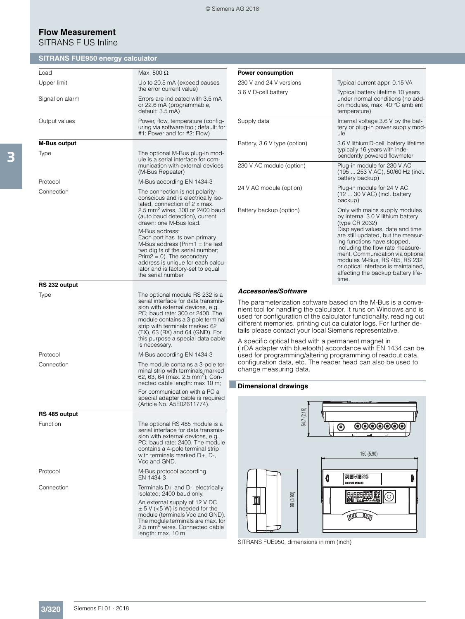## **Flow Measurement** SITRANS F US Inline

## **SITRANS FUE950 energy calculator**

| Load                | Max. 800 $\Omega$                                                                                                                                                                                                                                                                                             | Ρ                               |
|---------------------|---------------------------------------------------------------------------------------------------------------------------------------------------------------------------------------------------------------------------------------------------------------------------------------------------------------|---------------------------------|
| Upper limit         | Up to 20.5 mA (exceed causes<br>the error current value)                                                                                                                                                                                                                                                      | 2                               |
| Signal on alarm     | Errors are indicated with 3.5 mA<br>or 22.6 mA (programmable,<br>default: 3.5 mA)                                                                                                                                                                                                                             | 3                               |
| Output values       | Power, flow, temperature (config-<br>uring via software tool; default: for<br>#1: Power and for #2: Flow)                                                                                                                                                                                                     | S                               |
| <b>M-Bus output</b> |                                                                                                                                                                                                                                                                                                               | В                               |
| Type                | The optional M-Bus plug-in mod-<br>ule is a serial interface for com-<br>munication with external devices<br>(M-Bus Repeater)                                                                                                                                                                                 | 2                               |
| Protocol            | M-Bus according EN 1434-3                                                                                                                                                                                                                                                                                     |                                 |
| Connection          | The connection is not polarity-<br>conscious and is electrically iso-<br>lated, connection of 2 x max.                                                                                                                                                                                                        | 2                               |
|                     | 2.5 mm <sup>2</sup> wires, 300 or 2400 baud<br>(auto baud detection), current<br>drawn: one M-Bus load.                                                                                                                                                                                                       | В                               |
|                     | M-Bus address:<br>Each port has its own primary<br>M-Bus address (Prim1 = the last<br>two digits of the serial number;<br>$Prim2 = 0$ . The secondary<br>address is unique for each calcu-<br>lator and is factory-set to equal<br>the serial number.                                                         |                                 |
| RS 232 output       |                                                                                                                                                                                                                                                                                                               |                                 |
| Type                | The optional module RS 232 is a<br>serial interface for data transmis-<br>sion with external devices, e.g.<br>PC; baud rate: 300 or 2400. The<br>module contains a 3-pole terminal<br>strip with terminals marked 62<br>(TX), 63 (RX) and 64 (GND). For<br>this purpose a special data cable<br>is necessary. | A<br>Τ<br>n<br>u<br>C<br>t<br>А |
| Protocol            | M-Bus according EN 1434-3                                                                                                                                                                                                                                                                                     | ( <br>u                         |
| Connection          | The module contains a 3-pole ter-<br>minal strip with terminals marked<br>62, 63, 64 (max. 2.5 mm <sup>2</sup> ); Con-<br>nected cable length: max 10 m;                                                                                                                                                      | С<br>C<br>D                     |
|                     | For communication with a PC a<br>special adapter cable is required<br>(Article No. A5E02611774).                                                                                                                                                                                                              |                                 |
| RS 485 output       |                                                                                                                                                                                                                                                                                                               |                                 |
| Function            | The optional RS 485 module is a<br>serial interface for data transmis-<br>sion with external devices, e.g.<br>PC; baud rate: 2400. The module<br>contains a 4-pole terminal strip<br>with terminals marked D+, D-,<br>Vcc and GND.                                                                            |                                 |
| Protocol            | M-Bus protocol according<br>EN 1434-3                                                                                                                                                                                                                                                                         |                                 |
| Connection          | Terminals D+ and D-; electrically<br>isolated; 2400 baud only.                                                                                                                                                                                                                                                |                                 |
|                     | An external supply of 12 V DC<br>$\pm$ 5 V (<5 W) is needed for the<br>module (terminals Vcc and GND).                                                                                                                                                                                                        |                                 |

The module terminals are max. for<br>2.5 mm<sup>2</sup> wires. Connected cable<br>length: max. 10 m

| <b>Power consumption</b>     |                                                                                                                                                                                                                                                                                                                                                                                              |
|------------------------------|----------------------------------------------------------------------------------------------------------------------------------------------------------------------------------------------------------------------------------------------------------------------------------------------------------------------------------------------------------------------------------------------|
| 230 V and 24 V versions      | Typical current appr. 0.15 VA                                                                                                                                                                                                                                                                                                                                                                |
| 3.6 V D-cell battery         | Typical battery lifetime 10 years<br>under normal conditions (no add-<br>on modules, max, 40 °C ambient<br>temperature)                                                                                                                                                                                                                                                                      |
| Supply data                  | Internal voltage 3.6 V by the bat-<br>tery or plug-in power supply mod-<br>ule                                                                                                                                                                                                                                                                                                               |
| Battery, 3.6 V type (option) | 3.6 V lithium D-cell, battery lifetime<br>typically 16 years with inde-<br>pendently powered flowmeter                                                                                                                                                                                                                                                                                       |
| 230 V AC module (option)     | Plug-in module for 230 V AC<br>(195  253 V AC), 50/60 Hz (incl.<br>battery backup)                                                                                                                                                                                                                                                                                                           |
| 24 V AC module (option)      | Plug-in module for 24 V AC<br>$(1230 \text{ V AC})$ (incl. battery<br>backup)                                                                                                                                                                                                                                                                                                                |
| Battery backup (option)      | Only with mains supply modules<br>by internal 3.0 V lithium battery<br>(type CR 2032)<br>Displayed values, date and time<br>are still updated, but the measur-<br>ing functions have stopped.<br>including the flow rate measure-<br>ment. Communication via optional<br>modules M-Bus, RS 485, RS 232<br>or optical interface is maintained,<br>affecting the backup battery life-<br>time. |

## *Accessories/Software*

The parameterization software based on the M-Bus is a convenient tool for handling the calculator. It runs on Windows and is used for configuration of the calculator functionality, reading out different memories, printing out calculator logs. For further deails please contact your local Siemens representative.

s specific optical head with a permanent magnet in IrDA adapter with bluetooth) accordance with EN 1434 can be used for programming/altering programming of readout data, configuration data, etc. The reader head can also be used to change measuring data.

## ■**Dimensional drawings**



SITRANS FUE950, dimensions in mm (inch)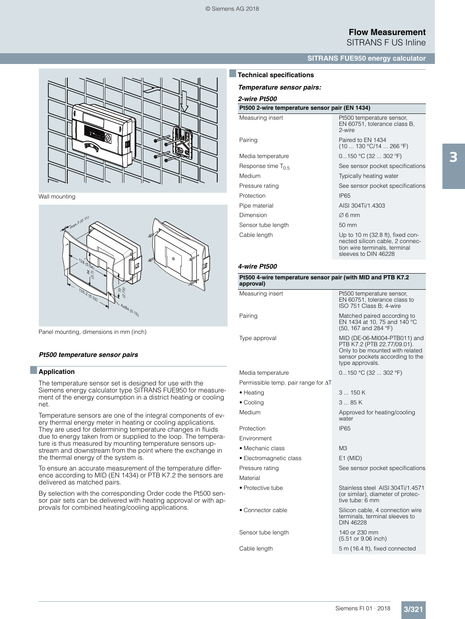

Wall mounting



Panel mounting, dimensions in mm (inch)

#### *Pt500 temperature sensor pairs*

## ■**Application**

The temperature sensor set is designed for use with the Siemens energy calculator type SITRANS FUE950 for measurement of the energy consumption in a district heating or cooling net.

Temperature sensors are one of the integral components of every thermal energy meter in heating or cooling applications. They are used for determining temperature changes in fluids due to energy taken from or supplied to the loop. The temperature is thus measured by mounting temperature sensors upstream and downstream from the point where the exchange in the thermal energy of the system is.

To ensure an accurate measurement of the temperature difference according to MID (EN 1434) or PTB K7.2 the sensors are delivered as matched pairs.

By selection with the corresponding Order code the Pt500 sensor pair sets can be delivered with heating approval or with approvals for combined heating/cooling applications.

## **SITRANS FUE950 energy calculator**

## ■**Technical specifications**

*Temperature sensor pairs:*

*2-wire Pt500*

#### **Pt500 2-wire temperature sensor pair (EN 1434)**

| Measuring insert        | Pt500 temperature sensor,<br>EN 60751, tolerance class B,<br>2-wire                                                                     |
|-------------------------|-----------------------------------------------------------------------------------------------------------------------------------------|
| Pairing                 | Paired to EN 1434<br>(10  130 °C/14  266 °F)                                                                                            |
| Media temperature       | $0150$ °C (32  302 °F)                                                                                                                  |
| Response time $T_{0.5}$ | See sensor pocket specifications                                                                                                        |
| Medium                  | Typically heating water                                                                                                                 |
| Pressure rating         | See sensor pocket specifications                                                                                                        |
| Protection              | IP65                                                                                                                                    |
| Pipe material           | AISI 304Ti/1.4303                                                                                                                       |
| Dimension               | $\varnothing$ 6 mm                                                                                                                      |
| Sensor tube length      | 50 mm                                                                                                                                   |
| Cable length            | Up to 10 m $(32.8 \text{ ft})$ , fixed con-<br>nected silicon cable, 2 connec-<br>tion wire terminals, terminal<br>sleeves to DIN 46228 |

| Pt500 4-wire temperature sensor pair (with MID and PTB K7.2<br>approval) |                                                                                                                                                      |
|--------------------------------------------------------------------------|------------------------------------------------------------------------------------------------------------------------------------------------------|
| Measuring insert                                                         | Pt500 temperature sensor,<br>EN 60751, tolerance class to<br>ISO 751 Class B; 4-wire                                                                 |
| Pairing                                                                  | Matched paired according to<br>EN 1434 at 10, 75 and 140 °C<br>(50, 167 and 284 °F)                                                                  |
| Type approval                                                            | MID (DE-06-MI004-PTB011) and<br>PTB K7.2 (PTB 22.77/09.01).<br>Only to be mounted with related<br>sensor pockets according to the<br>type approvals. |
| Media temperature                                                        | $0150$ °C (32  302 °F)                                                                                                                               |
| Permissible temp. pair range for $\Delta T$                              |                                                                                                                                                      |
| $\bullet$ Heating                                                        | 3150K                                                                                                                                                |
| • Cooling                                                                | 385K                                                                                                                                                 |
| Medium                                                                   | Approved for heating/cooling<br>water                                                                                                                |
| Protection                                                               | <b>IP65</b>                                                                                                                                          |
| Environment                                                              |                                                                                                                                                      |
| $\bullet$ Mechanic class                                                 | M <sub>3</sub>                                                                                                                                       |
| • Electromagnetic class                                                  | $E1$ (MID)                                                                                                                                           |
| Pressure rating                                                          | See sensor pocket specifications                                                                                                                     |
| Material                                                                 |                                                                                                                                                      |
| • Protective tube                                                        | Stainless steel AISI 304Ti/1.4571<br>(or similar), diameter of protec-<br>tive tube: 6 mm                                                            |
| $\bullet$ Connector cable                                                | Silicon cable, 4 connection wire<br>terminals, terminal sleeves to<br><b>DIN 46228</b>                                                               |
| Sensor tube length                                                       | 140 or 230 mm<br>(5.51 or 9.06 inch)                                                                                                                 |
| Cable length                                                             | 5 m (16.4 ft), fixed connected                                                                                                                       |

3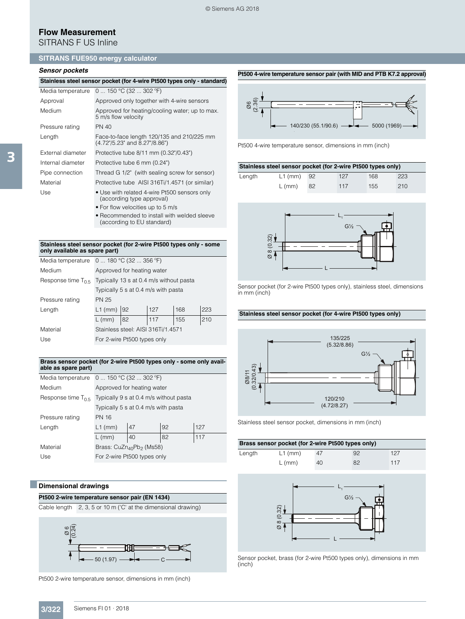# **Flow Measurement**

SITRANS F US Inline

## **SITRANS FUE950 energy calculator**

## *Sensor pockets*

| Stainless steel sensor pocket (for 4-wire Pt500 types only - standard) |  |  |  |  |
|------------------------------------------------------------------------|--|--|--|--|
|------------------------------------------------------------------------|--|--|--|--|

| Media temperature | 0  150 °C (32  302 °F)                                                      |
|-------------------|-----------------------------------------------------------------------------|
| Approval          | Approved only together with 4-wire sensors                                  |
| Medium            | Approved for heating/cooling water; up to max.<br>5 m/s flow velocity       |
| Pressure rating   | PN 40                                                                       |
| Length            | Face-to-face length 120/135 and 210/225 mm<br>(4.72"/5.23" and 8.27"/8.86") |
| External diameter | Protective tube 8/11 mm (0.32"/0.43")                                       |
| Internal diameter | Protective tube 6 mm (0.24")                                                |
| Pipe connection   | Thread G 1/2" (with sealing screw for sensor)                               |
| Material          | Protective tube AISI 316Ti/1.4571 (or similar)                              |
| Use               | • Use with related 4-wire Pt500 sensors only<br>(according type approval)   |
|                   | • For flow velocities up to 5 m/s                                           |
|                   | • Recommended to install with welded sleeve                                 |

#### **Stainless steel sensor pocket (for 2-wire Pt500 types only - some only available as spare part)**

(according to EU standard)

| Media temperature       | 0  180 °C (32  356 °F)                  |    |     |     |     |
|-------------------------|-----------------------------------------|----|-----|-----|-----|
| Medium                  | Approved for heating water              |    |     |     |     |
| Response time $T_{0.5}$ | Typically 13 s at 0.4 m/s without pasta |    |     |     |     |
|                         | Typically 5 s at 0.4 m/s with pasta     |    |     |     |     |
| Pressure rating         | <b>PN 25</b>                            |    |     |     |     |
| Length                  | $L1$ (mm) 92                            |    | 127 | 168 | 223 |
|                         | $L$ (mm)                                | 82 | 117 | 155 | 210 |
| Material                | Stainless steel: AISI 316Ti/1.4571      |    |     |     |     |
| Use                     | For 2-wire Pt500 types only             |    |     |     |     |

#### **Brass sensor pocket (for 2-wire Pt500 types only - some only available as spare part)**

| Media temperature       | 0  150 °C (32  302 °F)                 |    |    |     |
|-------------------------|----------------------------------------|----|----|-----|
| Medium                  | Approved for heating water             |    |    |     |
| Response time $T_{0.5}$ | Typically 9 s at 0.4 m/s without pasta |    |    |     |
|                         | Typically 5 s at 0.4 m/s with pasta    |    |    |     |
| Pressure rating         | <b>PN 16</b>                           |    |    |     |
| Length                  | $L1$ (mm)                              | 47 | 92 | 127 |
|                         | $L$ (mm)                               | 40 | 82 | 117 |
| Material                | Brass: $CuZn_{40}Pb_2$ (Ms58)          |    |    |     |
| Use                     | For 2-wire Pt500 types only            |    |    |     |

## ■**Dimensional drawings**

## **Pt500 2-wire temperature sensor pair (EN 1434)**

Cable length 2, 3, 5 or 10 m ('C' at the dimensional drawing)



Pt500 2-wire temperature sensor, dimensions in mm (inch)



**Pt500 4-wire temperature sensor pair (with MID and PTB K7.2 approval)**

Pt500 4-wire temperature sensor, dimensions in mm (inch)

| Stainless steel sensor pocket (for 2-wire Pt500 types only) |              |     |     |     |     |
|-------------------------------------------------------------|--------------|-----|-----|-----|-----|
| Length                                                      | $L1$ (mm) 92 |     | 127 | 168 | 223 |
|                                                             | $L$ (mm)     | -82 | 117 | 155 | 210 |



Sensor pocket (for 2-wire Pt500 types only), stainless steel, dimensions in mm (inch)

## **Stainless steel sensor pocket (for 4-wire Pt500 types only)**



Stainless steel sensor pocket, dimensions in mm (inch)

| Brass sensor pocket (for 2-wire Pt500 types only) |           |    |    |     |  |  |
|---------------------------------------------------|-----------|----|----|-----|--|--|
| Length                                            | $L1$ (mm) | 47 | 92 | 127 |  |  |
|                                                   | $L$ (mm)  | 40 | 82 | 117 |  |  |



Sensor pocket, brass (for 2-wire Pt500 types only), dimensions in mm (inch)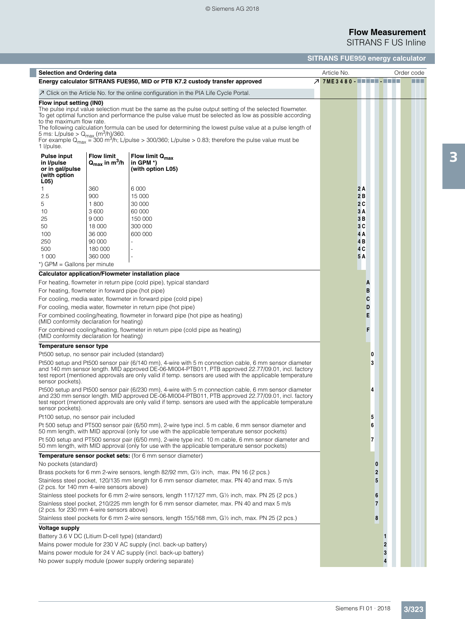© Siemens AG 2018

# **Flow Measurement** SITRANS F US Inline

**SITRANS FUE950 energy calculator**

| <b>Selection and Ordering data</b>                                                                                               |                                                            |                                                                                                                                                                                                                                                                                                                                                                                                                                                      | Article No.                     |                | Order code |
|----------------------------------------------------------------------------------------------------------------------------------|------------------------------------------------------------|------------------------------------------------------------------------------------------------------------------------------------------------------------------------------------------------------------------------------------------------------------------------------------------------------------------------------------------------------------------------------------------------------------------------------------------------------|---------------------------------|----------------|------------|
|                                                                                                                                  |                                                            | Energy calculator SITRANS FUE950, MID or PTB K7.2 custody transfer approved                                                                                                                                                                                                                                                                                                                                                                          | <b>7 7ME3480 - ■■■■■ - ■■■■</b> |                |            |
|                                                                                                                                  |                                                            | $\overline{\mathcal{A}}$ Click on the Article No. for the online configuration in the PIA Life Cycle Portal.                                                                                                                                                                                                                                                                                                                                         |                                 |                |            |
| Flow input setting (IN0)<br>to the maximum flow rate.<br>5 ms: L/pulse > $Q_{\text{max}}$ (m <sup>3</sup> /h)/360.<br>1 l/pulse. |                                                            | The pulse input value selection must be the same as the pulse output setting of the selected flowmeter.<br>To get optimal function and performance the pulse value must be selected as low as possible according<br>The following calculation formula can be used for determining the lowest pulse value at a pulse length of<br>For example $Q_{max}$ = 300 m <sup>3</sup> /h; L/pulse > 300/360; L/pulse > 0.83; therefore the pulse value must be |                                 |                |            |
| <b>Pulse input</b><br>in I/pulse<br>or in gal/pulse<br>(with option<br>L(05)                                                     | <b>Flow limit</b><br>$Q_{\text{max}}$ in m <sup>3</sup> /h | Flow limit Q <sub>max</sub><br>in GPM *)<br>(with option L05)                                                                                                                                                                                                                                                                                                                                                                                        |                                 |                |            |
| 1.<br>2.5                                                                                                                        | 360<br>900                                                 | 6 0 0 0<br>15 000                                                                                                                                                                                                                                                                                                                                                                                                                                    | 2A<br>2B                        |                |            |
|                                                                                                                                  |                                                            |                                                                                                                                                                                                                                                                                                                                                                                                                                                      |                                 |                |            |
| 5                                                                                                                                | 1800                                                       | 30 000                                                                                                                                                                                                                                                                                                                                                                                                                                               | 2C                              |                |            |
| 10                                                                                                                               | 3600                                                       | 60 000                                                                                                                                                                                                                                                                                                                                                                                                                                               | 3A                              |                |            |
| 25<br>50                                                                                                                         | 9 0 0 0<br>18 000                                          | 150 000<br>300 000                                                                                                                                                                                                                                                                                                                                                                                                                                   | 3B<br>3C                        |                |            |
| 100                                                                                                                              | 36 000                                                     | 600 000                                                                                                                                                                                                                                                                                                                                                                                                                                              | 4 A                             |                |            |
| 250                                                                                                                              | 90 000                                                     | ä,                                                                                                                                                                                                                                                                                                                                                                                                                                                   | 4 B                             |                |            |
| 500                                                                                                                              | 180 000                                                    |                                                                                                                                                                                                                                                                                                                                                                                                                                                      | 4 C                             |                |            |
| 1 0 0 0                                                                                                                          | 360 000                                                    | ä,                                                                                                                                                                                                                                                                                                                                                                                                                                                   | 5 A                             |                |            |
| *) GPM = Gallons per minute                                                                                                      |                                                            |                                                                                                                                                                                                                                                                                                                                                                                                                                                      |                                 |                |            |
|                                                                                                                                  |                                                            | Calculator application/Flowmeter installation place                                                                                                                                                                                                                                                                                                                                                                                                  |                                 |                |            |
|                                                                                                                                  |                                                            | For heating, flowmeter in return pipe (cold pipe), typical standard                                                                                                                                                                                                                                                                                                                                                                                  |                                 | A              |            |
| For heating, flowmeter in forward pipe (hot pipe)                                                                                |                                                            |                                                                                                                                                                                                                                                                                                                                                                                                                                                      |                                 | в              |            |
|                                                                                                                                  |                                                            | For cooling, media water, flowmeter in forward pipe (cold pipe)                                                                                                                                                                                                                                                                                                                                                                                      |                                 | C              |            |
|                                                                                                                                  |                                                            | For cooling, media water, flowmeter in return pipe (hot pipe)                                                                                                                                                                                                                                                                                                                                                                                        |                                 | D              |            |
| (MID conformity declaration for heating)                                                                                         |                                                            | For combined cooling/heating, flowmeter in forward pipe (hot pipe as heating)                                                                                                                                                                                                                                                                                                                                                                        |                                 | E              |            |
| (MID conformity declaration for heating)                                                                                         |                                                            | For combined cooling/heating, flowmeter in return pipe (cold pipe as heating)                                                                                                                                                                                                                                                                                                                                                                        |                                 | F              |            |
| Temperature sensor type                                                                                                          |                                                            |                                                                                                                                                                                                                                                                                                                                                                                                                                                      |                                 |                |            |
| Pt500 setup, no sensor pair included (standard)                                                                                  |                                                            |                                                                                                                                                                                                                                                                                                                                                                                                                                                      |                                 | 0              |            |
| sensor pockets).                                                                                                                 |                                                            | Pt500 setup and Pt500 sensor pair (6/140 mm), 4-wire with 5 m connection cable, 6 mm sensor diameter<br>and 140 mm sensor length. MID approved DE-06-MI004-PTB011, PTB approved 22.77/09.01, incl. factory<br>test report (mentioned approvals are only valid if temp. sensors are used with the applicable temperature                                                                                                                              |                                 | 3              |            |
| sensor pockets).                                                                                                                 |                                                            | Pt500 setup and Pt500 sensor pair (6/230 mm), 4-wire with 5 m connection cable, 6 mm sensor diameter<br>and 230 mm sensor length. MID approved DE-06-MI004-PTB011, PTB approved 22.77/09.01, incl. factory<br>test report (mentioned approvals are only valid if temp. sensors are used with the applicable temperature                                                                                                                              |                                 | 4              |            |
| Pt100 setup, no sensor pair included                                                                                             |                                                            |                                                                                                                                                                                                                                                                                                                                                                                                                                                      |                                 | 5              |            |
|                                                                                                                                  |                                                            | Pt 500 setup and PT500 sensor pair (6/50 mm), 2-wire type incl. 5 m cable, 6 mm sensor diameter and<br>50 mm length, with MID approval (only for use with the applicable temperature sensor pockets)                                                                                                                                                                                                                                                 |                                 | 6              |            |
|                                                                                                                                  |                                                            | Pt 500 setup and PT500 sensor pair (6/50 mm), 2-wire type incl. 10 m cable, 6 mm sensor diameter and<br>50 mm length, with MID approval (only for use with the applicable temperature sensor pockets)                                                                                                                                                                                                                                                |                                 | 7              |            |
|                                                                                                                                  |                                                            | Temperature sensor pocket sets: (for 6 mm sensor diameter)                                                                                                                                                                                                                                                                                                                                                                                           |                                 |                |            |
| No pockets (standard)                                                                                                            |                                                            |                                                                                                                                                                                                                                                                                                                                                                                                                                                      |                                 | $\bf{0}$       |            |
|                                                                                                                                  |                                                            | Brass pockets for 6 mm 2-wire sensors, length 82/92 mm, G1/2 inch, max. PN 16 (2 pcs.)                                                                                                                                                                                                                                                                                                                                                               |                                 | $\overline{2}$ |            |
| (2 pcs. for 140 mm 4-wire sensors above)                                                                                         |                                                            | Stainless steel pocket, 120/135 mm length for 6 mm sensor diameter, max. PN 40 and max. 5 m/s                                                                                                                                                                                                                                                                                                                                                        |                                 | 5              |            |
|                                                                                                                                  |                                                            | Stainless steel pockets for 6 mm 2-wire sensors, length 117/127 mm, G1/2 inch, max. PN 25 (2 pcs.)                                                                                                                                                                                                                                                                                                                                                   |                                 | 6              |            |
| (2 pcs. for 230 mm 4-wire sensors above)                                                                                         |                                                            | Stainless steel pocket, 210/225 mm length for 6 mm sensor diameter, max. PN 40 and max 5 m/s                                                                                                                                                                                                                                                                                                                                                         |                                 | $\overline{7}$ |            |
|                                                                                                                                  |                                                            | Stainless steel pockets for 6 mm 2-wire sensors, length 155/168 mm, G1/2 inch, max. PN 25 (2 pcs.)                                                                                                                                                                                                                                                                                                                                                   |                                 | 8              |            |
| <b>Voltage supply</b>                                                                                                            |                                                            |                                                                                                                                                                                                                                                                                                                                                                                                                                                      |                                 |                |            |
| Battery 3.6 V DC (Litium D-cell type) (standard)                                                                                 |                                                            |                                                                                                                                                                                                                                                                                                                                                                                                                                                      |                                 | 1              |            |
|                                                                                                                                  |                                                            | Mains power module for 230 V AC supply (incl. back-up battery)                                                                                                                                                                                                                                                                                                                                                                                       |                                 | $\overline{2}$ |            |
|                                                                                                                                  |                                                            | Mains power module for 24 V AC supply (incl. back-up battery)                                                                                                                                                                                                                                                                                                                                                                                        |                                 | 3              |            |
|                                                                                                                                  |                                                            | No power supply module (power supply ordering separate)                                                                                                                                                                                                                                                                                                                                                                                              |                                 |                |            |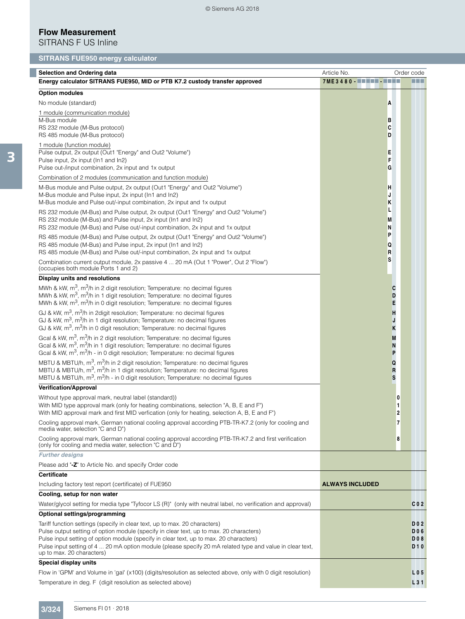# **Flow Measurement**

SITRANS F US Inline

# **SITRANS FUE950 energy calculator**

| <b>Selection and Ordering data</b>                                                                                                                                                                           | Article No.            | Order code               |
|--------------------------------------------------------------------------------------------------------------------------------------------------------------------------------------------------------------|------------------------|--------------------------|
| Energy calculator SITRANS FUE950, MID or PTB K7.2 custody transfer approved                                                                                                                                  | 7ME3480                |                          |
| <b>Option modules</b>                                                                                                                                                                                        |                        |                          |
| No module (standard)                                                                                                                                                                                         | A                      |                          |
| 1 module (communication module)                                                                                                                                                                              |                        |                          |
| M-Bus module                                                                                                                                                                                                 | в<br>C                 |                          |
| RS 232 module (M-Bus protocol)<br>RS 485 module (M-Bus protocol)                                                                                                                                             | D                      |                          |
| 1 module (function module)                                                                                                                                                                                   |                        |                          |
| Pulse output, 2x output (Out1 "Energy" and Out2 "Volume")                                                                                                                                                    | E                      |                          |
| Pulse input, 2x input (In1 and In2)<br>Pulse out-/input combination, 2x input and 1x output                                                                                                                  | F<br>G                 |                          |
| Combination of 2 modules (communication and function module)                                                                                                                                                 |                        |                          |
| M-Bus module and Pulse output, 2x output (Out1 "Energy" and Out2 "Volume")                                                                                                                                   | н                      |                          |
| M-Bus module and Pulse input, 2x input (In1 and In2)                                                                                                                                                         | J                      |                          |
| M-Bus module and Pulse out/-input combination, 2x input and 1x output                                                                                                                                        | ĸ                      |                          |
| RS 232 module (M-Bus) and Pulse output, 2x output (Out1 "Energy" and Out2 "Volume")                                                                                                                          | L                      |                          |
| RS 232 module (M-Bus) and Pulse input, 2x input (In1 and In2)<br>RS 232 module (M-Bus) and Pulse out/-input combination, 2x input and 1x output                                                              | M<br>N                 |                          |
| RS 485 module (M-Bus) and Pulse output, 2x output (Out1 "Energy" and Out2 "Volume")                                                                                                                          | P                      |                          |
| RS 485 module (M-Bus) and Pulse input, 2x input (In1 and In2)                                                                                                                                                | Q                      |                          |
| RS 485 module (M-Bus) and Pulse out/-input combination, 2x input and 1x output                                                                                                                               | R                      |                          |
| Combination current output module, 2x passive 4  20 mA (Out 1 "Power", Out 2 "Flow")<br>(occupies both module Ports 1 and 2)                                                                                 | s                      |                          |
| <b>Display units and resolutions</b>                                                                                                                                                                         |                        |                          |
| MWh & kW, $m^3$ , $m^3/h$ in 2 digit resolution; Temperature: no decimal figures                                                                                                                             | C                      |                          |
| MWh & kW, $m^3$ , $m^3/h$ in 1 digit resolution; Temperature: no decimal figures<br>MWh & kW, $m^3$ , $m^3/h$ in 0 digit resolution; Temperature: no decimal figures                                         | D<br>E                 |                          |
| GJ & kW, $m^3$ , $m^3/h$ in 2 digit resolution; Temperature: no decimal figures                                                                                                                              | н                      |                          |
| GJ & kW, m <sup>3</sup> , m <sup>3</sup> /h in 1 digit resolution; Temperature: no decimal figures<br>GJ & kW, m <sup>3</sup> , m <sup>3</sup> /h in 0 digit resolution; Temperature: no decimal figures     | J<br>Κ                 |                          |
| Gcal & kW, m <sup>3</sup> , m <sup>3</sup> /h in 2 digit resolution; Temperature: no decimal figures<br>Gcal & kW, m <sup>3</sup> , m <sup>3</sup> /h in 1 digit resolution; Temperature: no decimal figures | M                      |                          |
| Gcal & kW, m <sup>3</sup> , m <sup>3</sup> /h - in 0 digit resolution; Temperature: no decimal figures                                                                                                       | N<br>P                 |                          |
| MBTU & MBTU/h, m <sup>3</sup> , m <sup>3</sup> /h in 2 digit resolution; Temperature: no decimal figures                                                                                                     | Q                      |                          |
| MBTU & MBTU/h, m <sup>3</sup> , m <sup>3</sup> /h in 1 digit resolution; Temperature: no decimal figures                                                                                                     | R                      |                          |
| MBTU & MBTU/h, m <sup>3</sup> , m <sup>3</sup> /h - in 0 digit resolution; Temperature: no decimal figures                                                                                                   | S                      |                          |
| <b>Verification/Approval</b>                                                                                                                                                                                 |                        |                          |
| Without type approval mark, neutral label (standard))<br>With MID type approval mark (only for heating combinations, selection "A, B, E and F")                                                              |                        | 0<br>1                   |
| With MID approval mark and first MID verfication (only for heating, selection A, B, E and F")                                                                                                                |                        | 2                        |
| Cooling approval mark, German national cooling approval according PTB-TR-K7.2 (only for cooling and<br>media water, selection "C and D")                                                                     |                        | 7                        |
| Cooling approval mark, German national cooling approval according PTB-TR-K7.2 and first verification<br>(only for cooling and media water, selection "C and D")                                              |                        | 8                        |
| <b>Further designs</b>                                                                                                                                                                                       |                        |                          |
| Please add "-Z" to Article No. and specify Order code                                                                                                                                                        |                        |                          |
| <b>Certificate</b>                                                                                                                                                                                           |                        |                          |
| Including factory test report (certificate) of FUE950                                                                                                                                                        | <b>ALWAYS INCLUDED</b> |                          |
| Cooling, setup for non water                                                                                                                                                                                 |                        |                          |
| Water/glycol setting for media type "Tyfocor LS (R)" (only with neutral label, no verification and approval)                                                                                                 |                        | C <sub>0</sub> 2         |
| Optional settings/programming                                                                                                                                                                                |                        |                          |
| Tariff function settings (specify in clear text, up to max. 20 characters)<br>Pulse output setting of option module (specify in clear text, up to max. 20 characters)                                        |                        | <b>DO2</b><br><b>DO6</b> |
| Pulse input setting of option module (specify in clear text, up to max. 20 characters)                                                                                                                       |                        | <b>DO8</b>               |
| Pulse input setting of 4  20 mA option module (please specify 20 mA related type and value in clear text,                                                                                                    |                        | <b>D10</b>               |
| up to max. 20 characters)                                                                                                                                                                                    |                        |                          |
| Special display units                                                                                                                                                                                        |                        |                          |
| Flow in 'GPM' and Volume in 'gal' (x100) (digits/resolution as selected above, only with 0 digit resolution)                                                                                                 |                        | L 0 5                    |
| Temperature in deg. F (digit resolution as selected above)                                                                                                                                                   |                        | L31                      |

Г